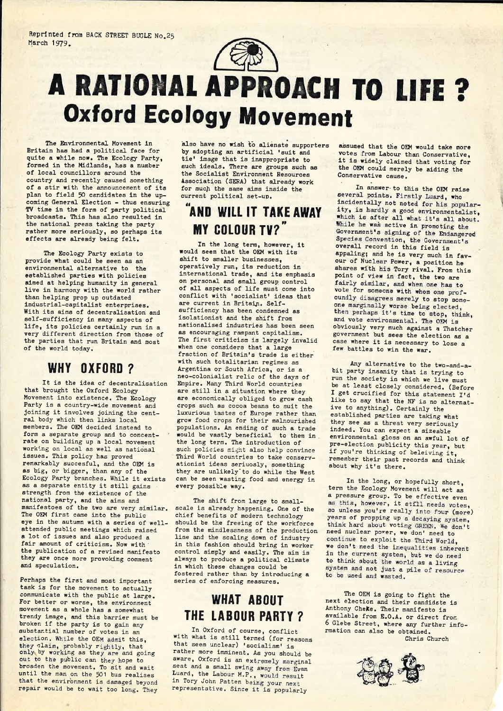

# A RATIOHAI. APPROACH TO llFE ? **Oxford Ecology Movement**

The Environmental Movement in Britain has had <sup>a</sup> political face for quite a while now. The Ecology Party, formed in the Midlands, has <sup>a</sup> number of local councillors around the country and recently caused something of <sup>a</sup> stir with the announcement of its plan to field 50 candidates in the upcoming General Election - thus ensuring TV time in the form of party political broadcasts. This has also resulted in the national press taking the party rather more seriously, so perhaps its effects are already being felt.

The Ecology Party exists to provide what could be seen as an environmental alternative to the established parties with policies aimed at helping humanity in general live in harmony with the world rather than helping prop up outdated industrial-capitalist enterprises. With its aims of decentralisation and self-sufficiency in many aspects of life, its policies certainly run in <sup>a</sup> very different direction from those of the parties that run Britain and most of the world today.

### WHY OXFORD?

It is the idea of decentralisation that brought the Oxford Ecology Movement into existence. The Ecology Party is <sup>a</sup> country-wide movement and joining it involves joining the cent ral body which then links local members. The OEM decided instead to form a separate group and to concentrate on building up a local movement working on local as well as national issues. This policy has proved remarkably succesful, and the OEM is as big, or bigger, than any of the Ecology Party branches. While it exists as <sup>a</sup> separate entity it still gains strength from the existence of the national party, and the aims and manifestoes of the two are very similar. The OEM first came into the public eye in the autumn with a series of wellattended public meetings which raised <sup>a</sup> lot of issues and also produced <sup>a</sup> fair amount of criticism. Now with the publication of <sup>a</sup> revised manifesto they are once more provoking comment and speculation.

Perhaps the first and most important task is for the movement to actually communicate with the public at large. For better or worse, the environment movement as a whole has a somewhat trendy image, and this barrier must be broken if the party is to gain any substantial number of votes in an election. While the OEH admit this, they claim, probably rightly, that<br>only by working as they are and going out to the public can they hope to broaden the movement. To sit and wait until the man on the <sup>501</sup> bus realises that the environment is damaged beyond repair would be to wait too long. They also have no wish to alienate supporters by adopting an artificial 'suit and tie' image that is inappropriate to such ideals. There are groups such as the Socialist Environment Resources Association (SERA) that already work for much the same aims inside the current political set-up.

## AND WILL IT TAKE AWAY **MY COLOUR TV?"**

In the long term, however, it would seem that the OEM with its shift to smaller businesses. Operatively run, its reduction in international trade, and its emphasis on personal and small group control of all aspects of life must come into conflict with 'socialist' ideas that are current in Britain. Selfsufficiency has been condemned as isolationist and the shift from nationalised industries has been seen as encouraging rampant capitalism. The first criticism is largely invalid when one considers that a large fraction of Britain's trade is either with such totalitarian regimes as Argentina or South Africa, or is <sup>a</sup> neo-colonialist relic of the days of Empire. Many Third World countries are still in <sup>a</sup> situation where they are economically obliged to grow cash crops such as cocoa beans to suit the luxurious tastes of Europe rather than grow food crops for their malnourished populations. An ending of such <sup>a</sup> trade would be vastly beneficial to them in the long term. The introduction of such policies might also help convince Third World countries to take conserv ationist ideas seriuosly, something they are unlikely'to do while the West can be seen wasting food and energy in every possible way.

The shift from large to smallscale is already happening. One of the chief benefits of modern technology should be the freeing of the workforce from the mindlessness of the production line and the scaling down of industry in this fashion should bring in worker control simply and easily. The aim is always to produce <sup>a</sup> political climate in which these changes could be fostered rather than by introducing a series of enforcing measures.

## WHAT ABOUT THE lABUUB PARTY 7

In Oxford of course, conflict<br>with what is still termed (for reasons<br>that seem unclear) 'socialism' is that seem unclear) 'socialism' is<br>rather more imminent. As you should be aware, Oxford is an extremely marginal seat and <sup>a</sup> small swing away from Evan Luard, the Labour M.P., would result in Tory John Patten being your next representative. Since it is popularly

assumed that the OEM would take more votes from Labour than Conservative, it is widely claimed that voting for the OEH could merely be aiding the Conservative cause.

In answer-to this the OEM raise several points. Firstly Luard, who incidentally not noted for his popular ity, is hardly <sup>a</sup> good environmentalist, which is after all what it's all about.<br>While he was active in promoting the While he was active in promoting the Government's signing of the Endangered Species Convention, the Government's overall record in this field is appaling; and he is very much in favour of Nuclear Power, <sup>a</sup> position he shares with his Tory rival. From this point of view in fact, the two are fairly similar, and when one has to vote for someone with whom one profoundly disagrees merely to stop someone marginally worse being elected, then perhaps it's time to stop, think, and vote environmental. The OEM is obviously very much against <sup>a</sup> Thatcher government but sees the election as <sup>a</sup> case where it is necessary to lose <sup>a</sup> few battles to win the war.

Any alternative to the two-and-abit party insanity that is trying to<br>run the society in which we live must run the society in which we live must<br>be at least closely considered. (Before I get crucified for this statement I'd like to say that the NF is no alternative to anything). Certainly the established parties are taking what they see as <sup>a</sup> threat very seriously indeed. You can expect <sup>a</sup> sizeable environmental gloss on an awful lot of pre-election publicity this year, but if you're thinking of beleiving it. remember their past records and think about why it's there.

In the long, or hopefully short, term the Ecology Movement will act as <sup>a</sup> pressure group. To be effective even a pressure group. To be effective even<br>as this, however, it still needs votes, so unless you're really into four (more) years of propping up <sup>a</sup> decaying system, think hard about voting GREEN. We don't need nuclear power, we don' need to continue to exploit the Third World, we don't need the inequalities inherent in the current system, but we do need to think about the world as <sup>a</sup> living system and not just a pile of resource to be used and wasted.

The OEM is going to fight the next election and their candidate is Anthony CheKe. Their manifesto is available from E.O.A. or direct from <sup>6</sup> Glebe Street, where any further info-rmation can also be obtained. Chris Church